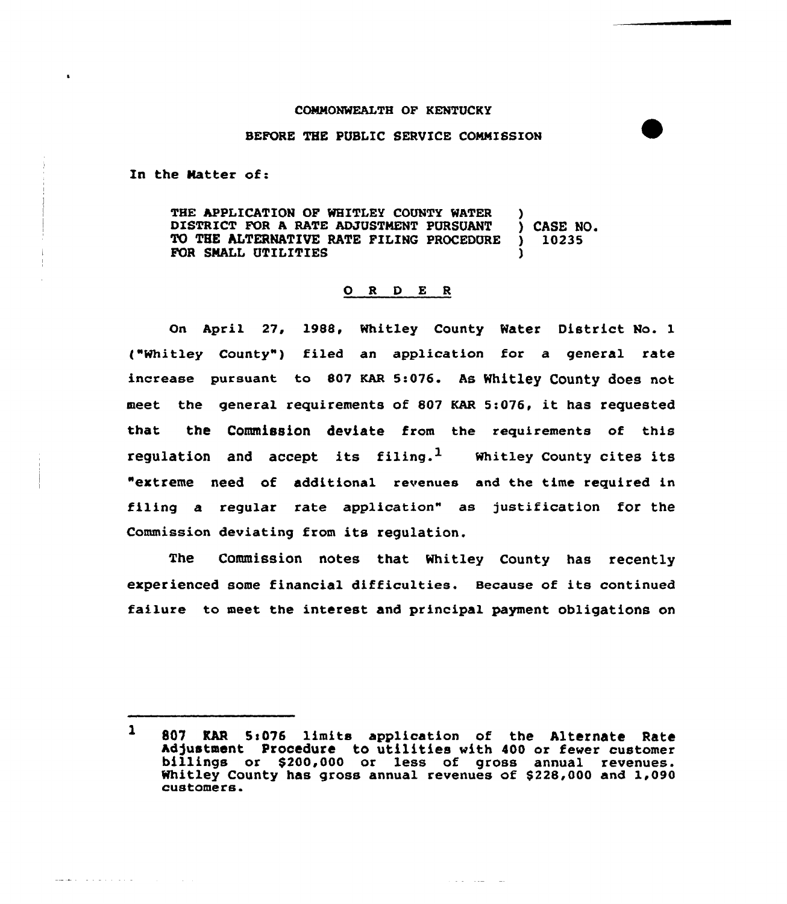## COMMONWEALTH OF KENTUCKY

## BEFORE THE PUBLIC SERUICE COMMISSION

In the Natter of:

المالدين والمتواط والمتعقب

THE APPLICATION OF WHITLEY COUNTY WATER )<br>DISTRICT FOR A RATE ADJUSTMENT PURSUANT DISTRICT FOR A RATE ADJUSTMENT PURSUANT ) CASE NO.<br>TO THE ALTERNATIVE RATE FILING PROCEDURE ) 10235 TO THE ALTERNATIVE RATE FILING PROCEDURE FOR SMALL UTILITIES

## 0 <sup>R</sup> <sup>D</sup> E <sup>R</sup>

On April 27, 1988, Whitley County Water District No. 1 ("Whitley County") filed an application for a general rate increase pursuant to 807 KAR 5:076. As Whitley County does not meet the general requirements of <sup>807</sup> KAR 5:0?6, it has requested that the Commission deviate from the requirements of this regulation and accept its filing.<sup>1</sup> Whitley County cites its "extreme need of additional revenues and the time required in filing a regular rate application" as justification for the Commission deviating from its regulation.

The Commission notes that Whitley County has recently experienced some financial difficulties. Because of its continued failure to meet the interest and principal payment obligations on

الموارد المعاديات والوارد

 $\mathbf{1}$ 807 RAR 5:076 limits application of the Alternate Rate<br>Adjustment Procedure to utilities with 400 or fewer customer billings or \$200,000 or less of gross annual revenues. Whitley County has gross annual revenues of \$228,000 and 1,090 customers.